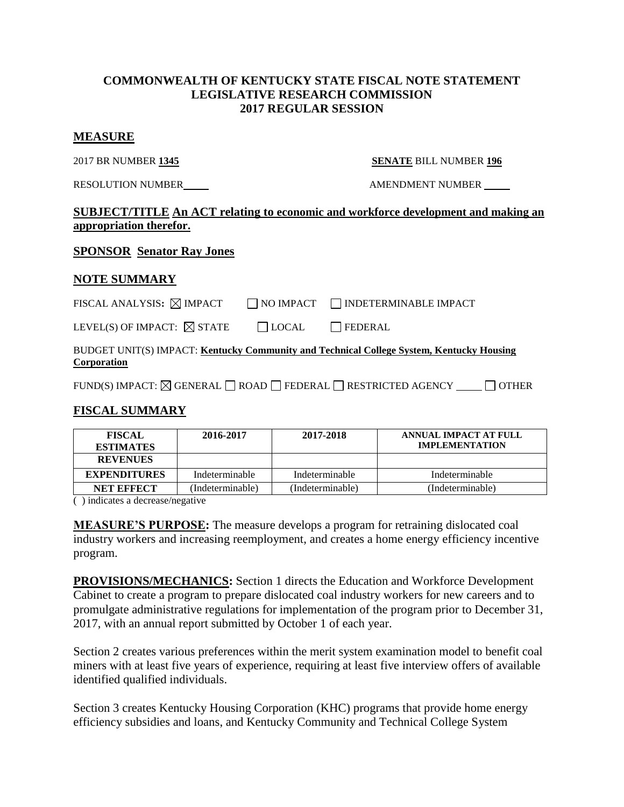### **COMMONWEALTH OF KENTUCKY STATE FISCAL NOTE STATEMENT LEGISLATIVE RESEARCH COMMISSION 2017 REGULAR SESSION**

#### **MEASURE**

#### 2017 BR NUMBER **1345 SENATE** BILL NUMBER **196**

RESOLUTION NUMBER AMENDMENT NUMBER

## **SUBJECT/TITLE An ACT relating to economic and workforce development and making an appropriation therefor.**

### **SPONSOR Senator Ray Jones**

### **NOTE SUMMARY**

| FISCAL ANALYSIS: $\boxtimes$ IMPACT |  | NO IMPACT NDETERMINABLE IMPACT |
|-------------------------------------|--|--------------------------------|
|                                     |  |                                |

| LEVEL(S) OF IMPACT: $\boxtimes$ STATE | $\Box$ LOCAL | $\Box$ FEDERAL |
|---------------------------------------|--------------|----------------|
|---------------------------------------|--------------|----------------|

#### BUDGET UNIT(S) IMPACT: **Kentucky Community and Technical College System, Kentucky Housing Corporation**

FUND(S) IMPACT:  $\boxtimes$  GENERAL  $\Box$  ROAD  $\Box$  FEDERAL  $\Box$  RESTRICTED AGENCY  $\Box$   $\Box$  OTHER

## **FISCAL SUMMARY**

| <b>FISCAL</b><br><b>ESTIMATES</b> | 2016-2017        | 2017-2018        | ANNUAL IMPACT AT FULL<br><b>IMPLEMENTATION</b> |
|-----------------------------------|------------------|------------------|------------------------------------------------|
| <b>REVENUES</b>                   |                  |                  |                                                |
| <b>EXPENDITURES</b>               | Indeterminable   | Indeterminable   | Indeterminable                                 |
| <b>NET EFFECT</b>                 | (Indeterminable) | (Indeterminable) | (Indeterminable)                               |

( ) indicates a decrease/negative

**MEASURE'S PURPOSE:** The measure develops a program for retraining dislocated coal industry workers and increasing reemployment, and creates a home energy efficiency incentive program.

**PROVISIONS/MECHANICS:** Section 1 directs the Education and Workforce Development Cabinet to create a program to prepare dislocated coal industry workers for new careers and to promulgate administrative regulations for implementation of the program prior to December 31, 2017, with an annual report submitted by October 1 of each year.

Section 2 creates various preferences within the merit system examination model to benefit coal miners with at least five years of experience, requiring at least five interview offers of available identified qualified individuals.

Section 3 creates Kentucky Housing Corporation (KHC) programs that provide home energy efficiency subsidies and loans, and Kentucky Community and Technical College System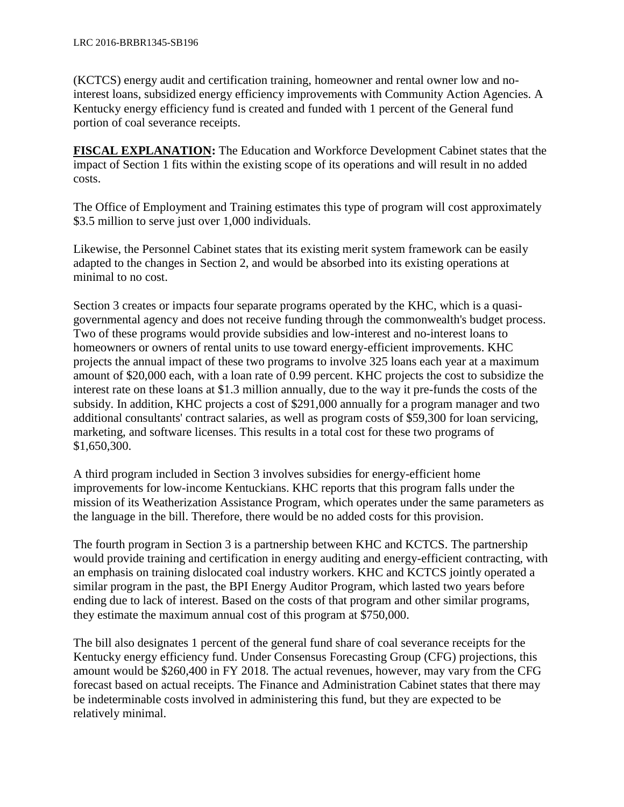(KCTCS) energy audit and certification training, homeowner and rental owner low and nointerest loans, subsidized energy efficiency improvements with Community Action Agencies. A Kentucky energy efficiency fund is created and funded with 1 percent of the General fund portion of coal severance receipts.

**FISCAL EXPLANATION:** The Education and Workforce Development Cabinet states that the impact of Section 1 fits within the existing scope of its operations and will result in no added costs.

The Office of Employment and Training estimates this type of program will cost approximately \$3.5 million to serve just over 1,000 individuals.

Likewise, the Personnel Cabinet states that its existing merit system framework can be easily adapted to the changes in Section 2, and would be absorbed into its existing operations at minimal to no cost.

Section 3 creates or impacts four separate programs operated by the KHC, which is a quasigovernmental agency and does not receive funding through the commonwealth's budget process. Two of these programs would provide subsidies and low-interest and no-interest loans to homeowners or owners of rental units to use toward energy-efficient improvements. KHC projects the annual impact of these two programs to involve 325 loans each year at a maximum amount of \$20,000 each, with a loan rate of 0.99 percent. KHC projects the cost to subsidize the interest rate on these loans at \$1.3 million annually, due to the way it pre-funds the costs of the subsidy. In addition, KHC projects a cost of \$291,000 annually for a program manager and two additional consultants' contract salaries, as well as program costs of \$59,300 for loan servicing, marketing, and software licenses. This results in a total cost for these two programs of \$1,650,300.

A third program included in Section 3 involves subsidies for energy-efficient home improvements for low-income Kentuckians. KHC reports that this program falls under the mission of its Weatherization Assistance Program, which operates under the same parameters as the language in the bill. Therefore, there would be no added costs for this provision.

The fourth program in Section 3 is a partnership between KHC and KCTCS. The partnership would provide training and certification in energy auditing and energy-efficient contracting, with an emphasis on training dislocated coal industry workers. KHC and KCTCS jointly operated a similar program in the past, the BPI Energy Auditor Program, which lasted two years before ending due to lack of interest. Based on the costs of that program and other similar programs, they estimate the maximum annual cost of this program at \$750,000.

The bill also designates 1 percent of the general fund share of coal severance receipts for the Kentucky energy efficiency fund. Under Consensus Forecasting Group (CFG) projections, this amount would be \$260,400 in FY 2018. The actual revenues, however, may vary from the CFG forecast based on actual receipts. The Finance and Administration Cabinet states that there may be indeterminable costs involved in administering this fund, but they are expected to be relatively minimal.